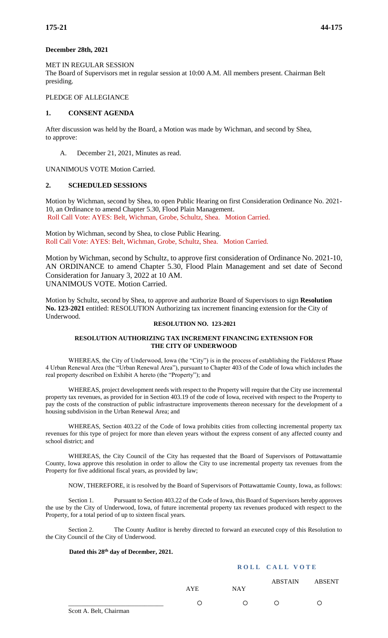## **December 28th, 2021**

## MET IN REGULAR SESSION

The Board of Supervisors met in regular session at 10:00 A.M. All members present. Chairman Belt presiding.

# PLEDGE OF ALLEGIANCE

# **1. CONSENT AGENDA**

After discussion was held by the Board, a Motion was made by Wichman, and second by Shea, to approve:

A. December 21, 2021, Minutes as read.

UNANIMOUS VOTE Motion Carried.

## **2. SCHEDULED SESSIONS**

Motion by Wichman, second by Shea, to open Public Hearing on first Consideration Ordinance No. 2021- 10, an Ordinance to amend Chapter 5.30, Flood Plain Management. Roll Call Vote: AYES: Belt, Wichman, Grobe, Schultz, Shea. Motion Carried.

Motion by Wichman, second by Shea, to close Public Hearing. Roll Call Vote: AYES: Belt, Wichman, Grobe, Schultz, Shea. Motion Carried.

Motion by Wichman, second by Schultz, to approve first consideration of Ordinance No. 2021-10, AN ORDINANCE to amend Chapter 5.30, Flood Plain Management and set date of Second Consideration for January 3, 2022 at 10 AM. UNANIMOUS VOTE. Motion Carried.

Motion by Schultz, second by Shea, to approve and authorize Board of Supervisors to sign **Resolution No. 123-2021** entitled: RESOLUTION Authorizing tax increment financing extension for the City of Underwood.

# **RESOLUTION NO. 123-2021**

#### **RESOLUTION AUTHORIZING TAX INCREMENT FINANCING EXTENSION FOR THE CITY OF UNDERWOOD**

WHEREAS, the City of Underwood, Iowa (the "City") is in the process of establishing the Fieldcrest Phase 4 Urban Renewal Area (the "Urban Renewal Area"), pursuant to Chapter 403 of the Code of Iowa which includes the real property described on Exhibit A hereto (the "Property"); and

WHEREAS, project development needs with respect to the Property will require that the City use incremental property tax revenues, as provided for in Section 403.19 of the code of Iowa, received with respect to the Property to pay the costs of the construction of public infrastructure improvements thereon necessary for the development of a housing subdivision in the Urban Renewal Area; and

WHEREAS, Section 403.22 of the Code of Iowa prohibits cities from collecting incremental property tax revenues for this type of project for more than eleven years without the express consent of any affected county and school district; and

WHEREAS, the City Council of the City has requested that the Board of Supervisors of Pottawattamie County, Iowa approve this resolution in order to allow the City to use incremental property tax revenues from the Property for five additional fiscal years, as provided by law;

NOW, THEREFORE, it is resolved by the Board of Supervisors of Pottawattamie County, Iowa, as follows:

Section 1. Pursuant to Section 403.22 of the Code of Iowa, this Board of Supervisors hereby approves the use by the City of Underwood, Iowa, of future incremental property tax revenues produced with respect to the Property, for a total period of up to sixteen fiscal years.

Section 2. The County Auditor is hereby directed to forward an executed copy of this Resolution to the City Council of the City of Underwood.

#### **Dated this 28th day of December, 2021.**

## **ROLL CALL VOTE**

|                                                             | AYE              | <b>NAY</b> |   | ABSTAIN ABSENT |
|-------------------------------------------------------------|------------------|------------|---|----------------|
|                                                             | $\left( \right)$ | ⌒          | ∩ | ∩              |
| $\alpha$ $\beta$ $\alpha$ $\beta$ $\gamma$ $\beta$ $\gamma$ |                  |            |   |                |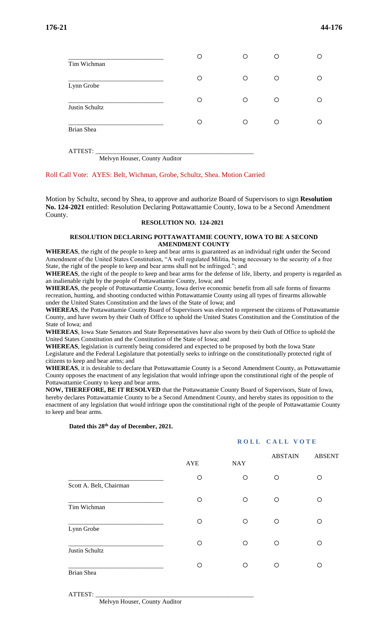|                           | О | O | Ο |  |
|---------------------------|---|---|---|--|
| Tim Wichman<br>Lynn Grobe | ∩ | ∩ | Ο |  |
| Justin Schultz            | Ο | ◯ | О |  |
| Brian Shea                | О | Ω | ∩ |  |
|                           |   |   |   |  |

ATTEST: \_\_\_\_\_\_\_\_\_\_\_\_\_\_\_\_\_\_\_\_\_\_\_\_\_\_\_\_\_\_\_\_\_\_\_\_\_\_\_\_\_\_\_\_\_\_\_\_\_\_

Melvyn Houser, County Auditor

#### Roll Call Vote: AYES: Belt, Wichman, Grobe, Schultz, Shea. Motion Carried

Motion by Schultz, second by Shea, to approve and authorize Board of Supervisors to sign **Resolution No. 124-2021** entitled: Resolution Declaring Pottawattamie County, Iowa to be a Second Amendment County.

#### **RESOLUTION NO. 124-2021**

#### **RESOLUTION DECLARING POTTAWATTAMIE COUNTY, IOWA TO BE A SECOND AMENDMENT COUNTY**

**WHEREAS**, the right of the people to keep and bear arms is guaranteed as an individual right under the Second Amendment of the United States Constitution, "A well regulated Militia, being necessary to the security of a free State, the right of the people to keep and bear arms shall not be infringed."; and

**WHEREAS**, the right of the people to keep and bear arms for the defense of life, liberty, and property is regarded as an inalienable right by the people of Pottawattamie County, Iowa; and

**WHEREAS**, the people of Pottawattamie County, Iowa derive economic benefit from all safe forms of firearms recreation, hunting, and shooting conducted within Pottawattamie County using all types of firearms allowable under the United States Constitution and the laws of the State of Iowa; and

**WHEREAS**, the Pottawattamie County Board of Supervisors was elected to represent the citizens of Pottawattamie County, and have sworn by their Oath of Office to uphold the United States Constitution and the Constitution of the State of Iowa; and

**WHEREAS**, Iowa State Senators and State Representatives have also sworn by their Oath of Office to uphold the United States Constitution and the Constitution of the State of Iowa; and

**WHEREAS**, legislation is currently being considered and expected to be proposed by both the Iowa State

Legislature and the Federal Legislature that potentially seeks to infringe on the constitutionally protected right of citizens to keep and bear arms; and

**WHEREAS**, it is desirable to declare that Pottawattamie County is a Second Amendment County, as Pottawattamie County opposes the enactment of any legislation that would infringe upon the constitutional right of the people of Pottawattamie County to keep and bear arms.

**NOW, THEREFORE, BE IT RESOLVED** that the Pottawattamie County Board of Supervisors, State of Iowa, hereby declares Pottawattamie County to be a Second Amendment County, and hereby states its opposition to the enactment of any legislation that would infringe upon the constitutional right of the people of Pottawattamie County to keep and bear arms.

# AYE NAY ABSTAIN ABSENT \_\_\_\_\_\_\_\_\_\_\_\_\_\_\_\_\_\_\_\_\_\_\_\_\_\_\_\_\_\_ Scott A. Belt, Chairman \_\_\_\_\_\_\_\_\_\_\_\_\_\_\_\_\_\_\_\_\_\_\_\_\_\_\_\_\_\_ Tim Wichman \_\_\_\_\_\_\_\_\_\_\_\_\_\_\_\_\_\_\_\_\_\_\_\_\_\_\_\_\_\_ Lynn Grobe \_\_\_\_\_\_\_\_\_\_\_\_\_\_\_\_\_\_\_\_\_\_\_\_\_\_\_\_\_\_ Justin Schultz \_\_\_\_\_\_\_\_\_\_\_\_\_\_\_\_\_\_\_\_\_\_\_\_\_\_\_\_\_\_ Brian Shea

 **Dated this 28th day of December, 2021.**

## **ROLL CALL VOTE**

ATTEST: \_\_\_\_\_\_\_\_\_\_\_\_\_\_\_\_\_\_\_\_\_\_\_\_\_\_\_\_\_\_\_\_\_\_\_\_\_\_\_\_\_\_\_\_\_\_\_\_\_\_

Melvyn Houser, County Auditor